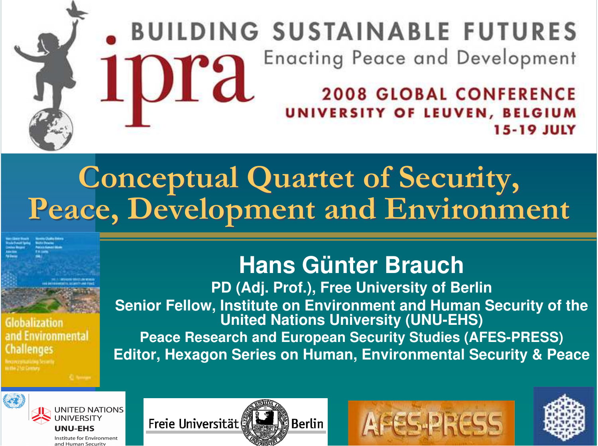## **DING SUSTAINABLE FUTURES Enacting Peace and Development IDra**

**2008 GLOBAL CONFERENCE /ERSITY OF LEUVEN, BELGIUM 15-19 JULY** 

### Conceptual Quartet of Security, **Peace, Develo** Peace, Development and Environment pment and Environment

slobalization nvironmental llenges

## **Hans Günter Brauch**

**PD (Adj. Prof.), Free University of Berlin Senior Fellow, Institute on Environment and Human Security of the United Nations University (UNU-EHS) Peace Research and European Security Studies (AFES-PRESS) Editor, Hexagon Series on Human, Environmental Security & Peace**



Freie Universität ឿBerlin



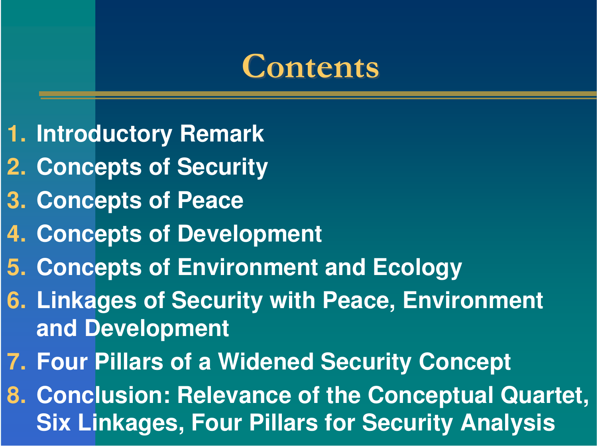## **Contents**

- **1. Introductory Remark**
- **2. Concepts of Security**
- **3. Concepts of Peace**
- **4. Concepts of Development**
- **5. Concepts of Environment and Ecology**
- **6. Linkages of Security with Peace, Environment and Development**
- **7. Four Pillars of <sup>a</sup> Widened Security Concept**
- **8. Conclusion: Relevance of the Conceptual Quartet, Six Linkages, Four Pillars for Security Analysis**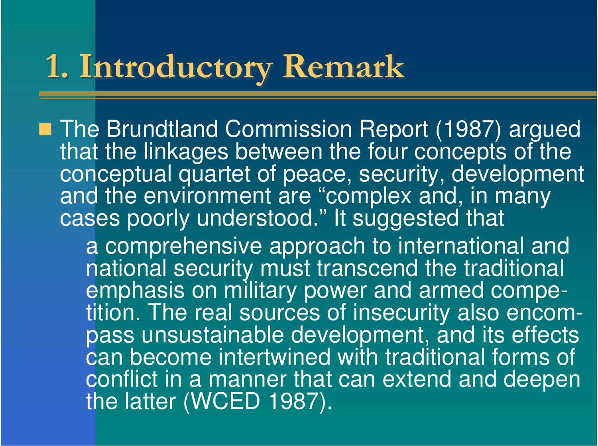### 1. Introducto ry Remark

■ The Brundtland Commission Report (1987) argued that the linkages between the four concepts of the conceptual quartet of peace, security, development and the environment are " "complex and, in many cases poorly understood." It suggested that a comprehensive approach to international and national security must transcend the traditional emphasis on military power and armed competition. The real sources of insecurity also encom pass unsustainable development, and its effects can become intertwined with traditional forms of conflict in a manner that can extend and deepen the latter (WCED 1987).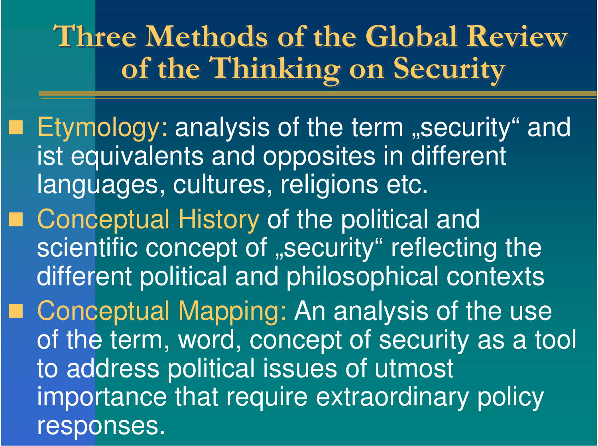Three Methods of the Global Review of the Thinking o <u>n</u> of the Thinking on Security  $\mathbf n$ n Security

- Etymology: analysis of the term "security" and ist equivalents and opposites in different languages, cultures, religions etc.
- Conceptual History of the political and scientific concept of "security" reflecting the different political and philosophical contexts
	- Conceptual Mapping: An analysis of the use of the term, word, concept of security as a tool to address political issues of utmost importance that require extraordinary policy responses.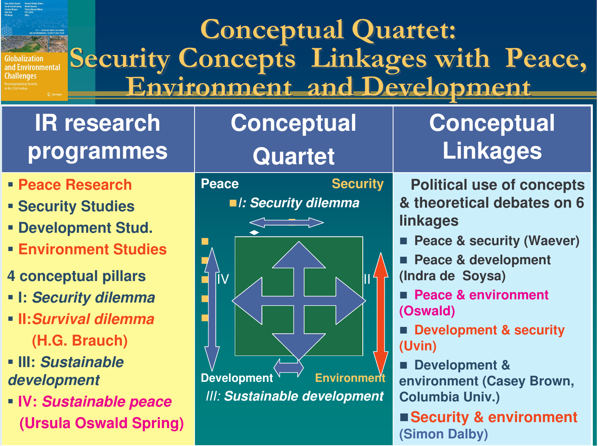### Conceptual Quartet: Security Concepts Linkages with Peace, Security Concepts Linkages with Peace, ronmental Environment and Development

## **lR** research **p r o g r a m m e s**

- -**PeaceResearch**
- **F**<br /> **S**<br /> **S**<br /> **S**<br /> **S**<br /> **S**<br /> **S**<br /> **S**<br /> **S**<br /> **S**<br /> **S**<br /> **S**<br /> **S**<br /> **S**<br /> **S**<br /> **S**<br /> **S**<br /> **S**<br /> **S**<br /> **S**<br /> **S**<br /> **S**<br /> **S**
- **F** Development Stud.
- -**Environment St udies**
- **4 c o n c e p t u al pilla r s**
- **I:** *S e c u ri ty dile m m a*
- **II:***Survivaldilemma***( H.G. B r a u c h )**
- **III:** *Sustainabledevelopment*
- **IV:** *S u s ta in a b le p e a c e* (Ursula Oswald Spring)



**Conceptual** 

## **Conceptual Lin k a g e s**

**Political useof concep t s&t heoretical debat eson6lin k a g e s**

- **Peace & security (Waever)**
- Г **Peace & development** (Indra de Soysa)
- **Peace&environment (O s w ald)**
- Development & security **(U vin)**
- **<b>** $\blacksquare$  Development & environment (Casey Brown, **C olu m bia U niv.)** ■ Security & environment

**(Sim o n D alb y)**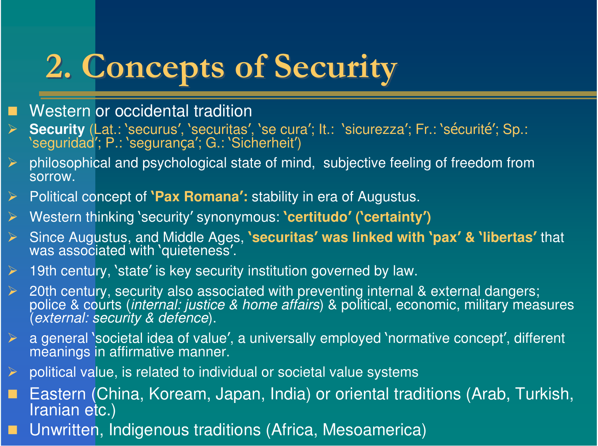# **2. Concepts of Security**

- П Western or occidental tradition
- $\blacktriangleright$ Security (Lat.: 'securus', 'securitas', 'se cura'; It.: 'sicurezza'; Fr.: 'sécurité'; Sp.: 'seguridad'; P.: 'segurança'; G.: 'Sicherheit')
- $\triangleright$  philosophical and psychological state of mind, subjective feeling of freedom from sorrow.
- $\sum_{i=1}^{n}$ ▶ Political concept of **`Pax Romana':** stability in era of Augustus.
- $\blacktriangleright$ > Western thinking 'security' synonymous: 'certitudo' ('certainty')
- $\blacktriangleright$  Since Augustus, and Middle Ages, **securitas**- **was linked with pax**- **& libertas**- that was associated with `quieteness'.
- $\triangleright$  $\triangleright$  19th century, 'state' is key security institution governed by law.
- $\blacktriangleright$  $\triangleright$  20th century, security also associated with preventing internal & external dangers; police & courts (*internal: justice & home affairs*) & political, economic, military measures (*external: security & defence*).
- $\blacktriangleright$  $\triangleright$  a general `societal idea of value', a universally employed `normative concept', different meanings in affirmative manner.
- $\triangleright$ political value, is related to individual or societal value systems
- $\blacksquare$  Eastern (China, Koream, Japan, India) or oriental traditions (Arab, Turkish, Iranian etc.)
- Unwritten, Indigenous traditions (Africa, Mesoamerica)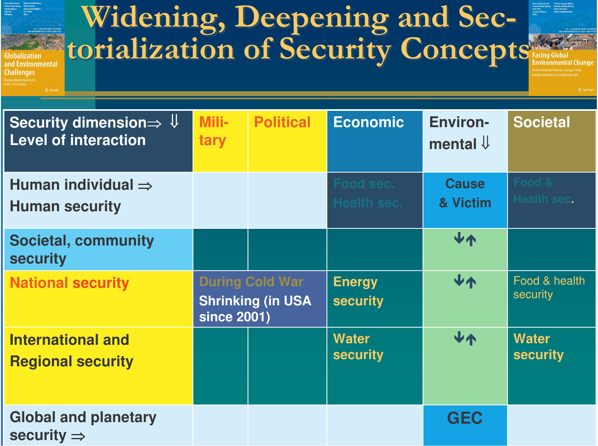Widening, Deepening and Sectorialization of Security Concepts **Environmental** Challenges Security dimension $\Rightarrow$   $\Downarrow$ **Mili-Environ- Societal Political Economic Level of interactiontary** mental  $\downarrow$ **CauseHuman individual Health sec. & VictimHuman security Societal, community security Energy** VA **During Cold War National security** Food & health security **Shrinking (in USA security since 2001) International andWater**r I V↑ **Watersecurity security Regional security Global and planetary GEC security**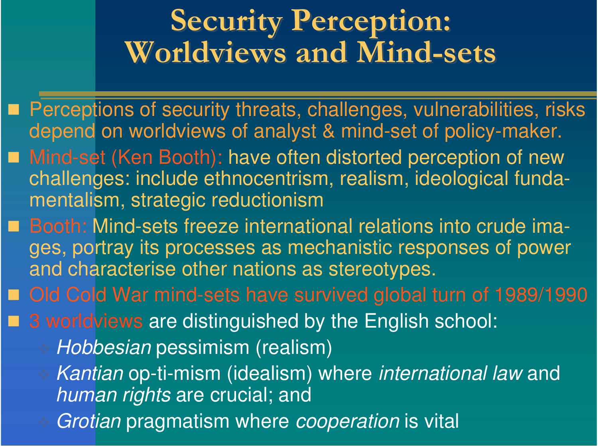### **Security Perceptio Security Perception: Worldviews and Mind-sets** n:

■ Perceptions of security threats, challenges, vulnerabilities, risks depend on worldviews of analyst & mind-set of policy-maker.

- Mind-set (Ken Booth): have often distorted perception of new challenges: include ethnocentrism, realism, ideological fundamentalism, strategic reductionism
- Booth: Mind-sets freeze international relations into crude images, portray its processes as mechanistic responses of power and characterise other nations as stereotypes.

Old Cold War mind-sets have survived global turn of 1989/1990

■ 3 worldviews are distinguished by the English school:

*Hobbesian* pessimism (realism)

 *Kantian* op-ti-mism (idealism) where *international law* and *human rights* are crucial; and

*Grotian* pragmatism where *cooperation* is vital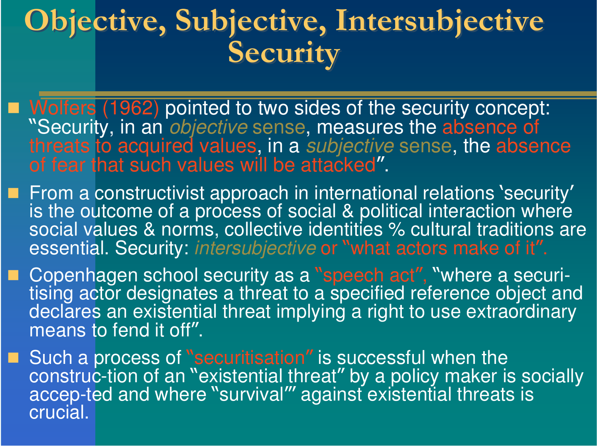#### Obj ective, Subj ective, Intersubj Objective, Subjective, Intersubjective **Securit** Y ective, Subj ective, Intersubj ective Securit y

- Wolfers (1962) pointed to two sides of the security concept: 77 "Security, in an *objective* sense, measures the absence of threats to acquired values, in a *subjective* sense, the absence of fear that such values will be attacked 77 .
- **From a constructivist approach in international relations 'security'** is the outcome of a process of social & political interaction where social values & norms, collective identities % cultural traditions are essential. Security: *intersubjective* or IJ "what actors make of it"
- **E** Copenhagen school security as a IJ "speech act", "where a securitising actor designates a threat to a specified reference object and declares an existential threat implying a right to use extraordinary means to fend it off 77 .
- **E** Such a process of IJ "securitisation " is successful when the construc-tion of an W "existential threat" " by a policy maker is socially accep-ted and where W "survival"' against existential threats is c r ucial.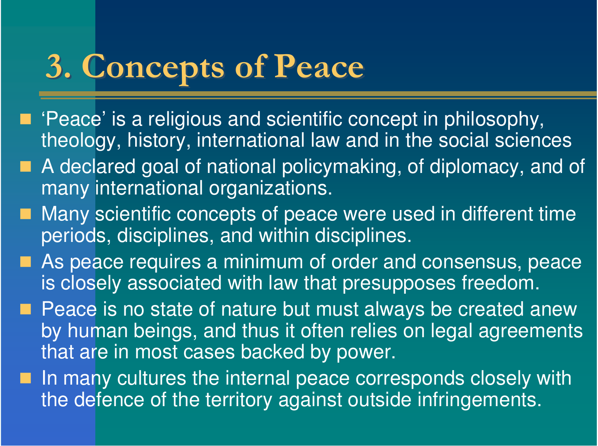# **3. Concepts of Peace**

- 'Peace' is a religious and scientific concept in philosophy, theology, history, international law and in the social sciences
- A declared goal of national policymaking, of diplomacy, and of many international organizations.
- Many scientific concepts of peace were used in different time periods, disciplines, and within disciplines.
- **As peace requires a minimum of order and consensus, peace** is closely associated with law that presupposes freedom.
- **Peace is no state of nature but must always be created anew** by human beings, and thus it often relies on legal agreements that are in most cases backed by power.
- $\blacksquare$  In many cultures the internal peace corresponds closely with the defence of the territory against outside infringements.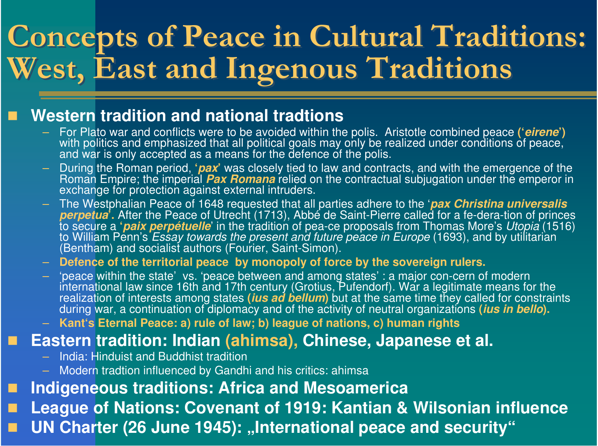### Conce Concepts of Peace in Cultural Traditions: **West, East and In** West, East and Ingenous Traditions pts of Peace in Cultural Traditions: genous Traditions

#### ■ Western tradition and national tradtions

- $-$  For Plato war and conflicts were to be avoided within the polis. Aristotle combined peace ('*eirene*') with politics and emphasized that all political goals may only be realized under conditions of peace, and war is only accepted as a means for the defence of the polis.
- During the Roman period, '*pax*' was closely tied to law and contracts, and with the emergence of the Roman Empire; the imperial *Pax Romana* relied on the contractual subjugation under the emperor in exchange for protection against external intruders.
- TheWestp halianPeaceof 1648 re q uested th at all p artiesadhere to th e '*p axChristinauniversalis*perpetua<sup>i</sup>. After the Peace of Utrecht (1713), Abbé de Saint-Pierre called for a fe-dera-tion of princes to secure a '*paix perpétuelle*' in the tradition of pea-ce proposals from Thomas More's Utopia (1516) to William Penn's *Essay towards the present and future peace in Europe* (1693), and by utilitarian (Bentham) and socialist authors (Fourier, Saint-Simon).

 $\,$  Defence of the territorial peace  $\,$  by monopoly of force by the sovereign rulers.

– 'peace within the state'vs. 'peace between and among states': a major con-cern of modern international law since 16th and 17th century (Grotius, Pufendorf). War a legitimate means for the<br>realization of interests among states (*ius ad bellum*) but at the same time they called for constraints<br>during war, a cont

– Kant's Eternal Peace: a) rule of law; b) league of nations, c) human rights

#### ■ Eastern tradition: Indian (ahimsa), Chinese, Japanese et al.

- $-$  India: Hinduist and Buddhist tradition
- Modern tradtion influenced by Gandhi and his critics: ahimsa

п ■ Indigeneous traditions: Africa and Mesoamerica

П League of Nations: Covenant of 1919: Kantian & Wilsonian influence

UN Charter (26 June 1945): "International peace and security"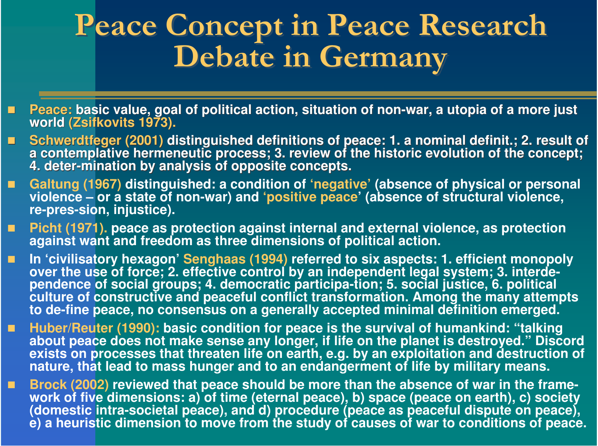### **Peace Conce** Peace Concept in Peace Research **Debate in Germany** pt in Peace Research **Debate in Germany**

- П Peace: basic value, goal of political action, situation of non-war, a utopia of a more just **wo rld (Z sif k o vit s 1 9 7 3).**
- $\blacksquare$ Schwerdtfeger (2001) distinguished definitions of peace: 1. a nominal definit.; 2. result of a contemplative hermeneutic process; 3. review of the historic evolution of the concept; 4. deter-mination by analysis of opposite concepts.
- п Galtung (1967) distinguished: a condition of 'negative' (absence of physical or personal violence – or a state of non-war) and 'positive peace' (absence of structural violence, **r e-p r e s-sio n, inju s tic e).**
- П Picht (1971). peace as protection against internal and external violence, as protection against want and freedom as three dimensions of political action.
- П ■ In 'civilisatory hexagon' Senghaas (1994) referred to six aspects: 1. efficient monopoly over the use of force; 2. effective control by an independent legal system; 3. interdependence of social groups; 4. democratic participa-tion; 5. social justice, 6. political culture of constructive and peaceful conflict transformation. Among the many attempts<br>to de-fine peace, no consensus on a generally accepted minimal definition emerged.
- п Huber/Reuter (1990): basic condition for peace is the survival of humankind: "talking about peace does not make sense any longer, if life on the planet is destroyed." Discord exists on processes that threaten life on earth, e.g. by an exploitation and destruction of nature, that lead to mass hunger and to an endangerment of life by military means.
- Brock (2002) reviewed that peace should be more than the absence of war in the framework of five dimensions: a) of time (eternal peace), b) space (peace on earth), c) society (domestic intra-societal peace), and d) procedure (peace as peaceful dispute on peace), e) a heuristic dimension to move from the study of causes of war to conditions of peace.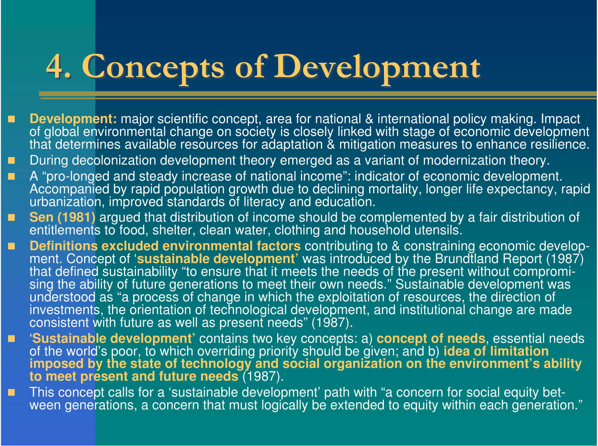### **4. Conce** pts of Develo pment

- F **Development:** major scientific concept, area for national & international policy making. Impact of global environmental change on society is closely linked with stage of economic development that determines available resources for adaptation & mitigation measures to enhance resilience.
- During decolonization development theory emerged as a variant of modernization theory.
- п A "pro-longed and steady increase of national income": indicator of economic development. Accompanied by rapid population growth due to declining mortality, longer life expectancy, rapid urbanization, improved standards of literacy and education.
- П Sen (1981) argued that distribution of income should be complemented by a fair distribution of entitlements to food, shelter, clean water, clothing and household utensils.
- п **Definitions excluded environmental factors** contributing to & constraining economic development. Concept of 'sustainable development' was introduced by the Brundtland Report (1987) that defined sustainability "to ensure that it meets the needs of the present without compromising the ability of future generations to meet their own needs." Sustainable development was understood as "a process of change in which the exploitation of resources, the direction of investments, the orientation of technological development, and institutional change are made<br>consistent with future as well as present needs" (1987).
- Г ■ Sustainable development' contains two key concepts: a) concept of needs, essential needs<br>of the world's poor, to which overriding priority should be given; and b) idea of limitation<br>imposed by the state of technology an to meet present and future needs (1987).
- b. This concept calls for a 'sustainable development' path with "a concern for social equity between generations, a concern that must logically be extended to equity within each generation."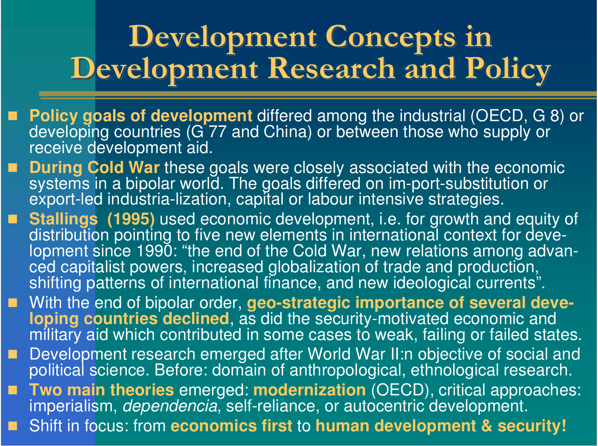#### **Develo pment Conce Development Concepts in Develo** pment Research and Polic Y **pment Conce** pts in **Develo pment Research and Polic**  $\mathbf{y}$

- Policy goals of development differed among the industrial (OECD, G 8) or<br>developing countries (G 77 and China) or between those who supply or receive development aid.
- П **During Cold War these goals were closely associated with the economic** systems in a bipolar world. The goals differed on im-port-substitution or export-led industria-lization, capital or labour intensive strategies.
- Stallings (1995) used economic development, i.e. for growth and equity of <br>distribution pointing to five new elements in international context for development since 1990: "the end of the Cold War, new relations among advanced capitalist powers, increased globalization of trade and production, shifting patterns of international finance, and new ideological currents".
- With the end of bipolar order, geo-strategic importance of several deve**loping countries declined,** as did the security-motivated economic and military aid which contributed in some cases to weak, failing or failed states.
- П Development research emerged after World War II:n objective of social and<br>political science. Before: domain of anthropological, ethnological research.
- п **Two main theories** emerged: modernization (OECD), critical approaches: imperialism, *dependencia*, self-reliance, or autocentric development.

Shift in focus: from economics first to human development & security!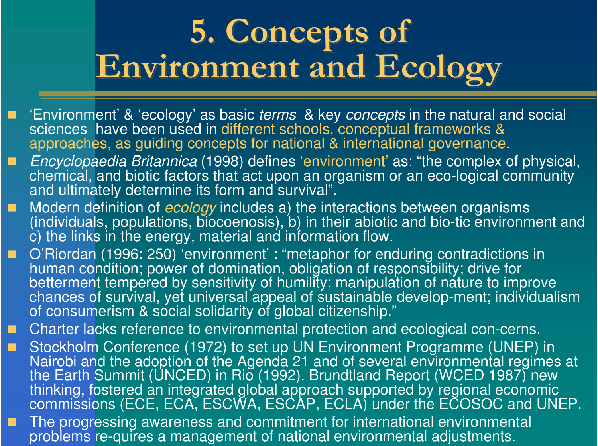#### **5. Conce** pts of **Environment and Ecolo** gy 5. Conce pts of **Environment and Ecolo gy**

- 'Environment' & 'ecology' as basic *terms* & key *concepts* in the natural and social sciences have been used in different schools, conceptual frameworks & approaches, as guiding concepts for national & international governance.
- п *Encyclopaedia Britannica* (1998) defines 'environment' as: "the complex of physical, chemical, and biotic factors that act upon an organism or an eco-logical community and ultimately determine its form and survival".
- п Modern definition of *ecology* includes a) the interactions between organisms<br>(individuals, populations, biocoenosis), b) in their abiotic and bio-tic environment and c) the links in the energy, material and information flow.
- $\blacksquare$ O'Riordan (1996: 250) 'environment' : "metaphor for enduring contradictions in human condition; power of domination, obligation of responsibility; drive for betterment tempered by sensitivity of humility; manipulation of nature to improve chances of survival, yet universal appeal of sustainable develop-ment; individualism<br>of consumerism & social solidarity of global citizenship."
- п Charter lacks reference to environmental protection and ecological con-cerns.
- $\blacksquare$ Stockholm Conference (1972) to set up UN Environment Programme (UNEP) in Nairobi and the adoption of the Agenda 21 and of several environmental regimes at the Earth Summit (UNCED) in Rio (1992). Brundtland Report (WCED 1987) new thinking, fostered an integrated global approach supported by regional economic<br>commissions (ECE, ECA, ESCWA, ESCAP, ECLA) under the ECOSOC and UNEP.
- П The progressing awareness and commitment for international environmental problems re-quires a management of national environmental adjustments.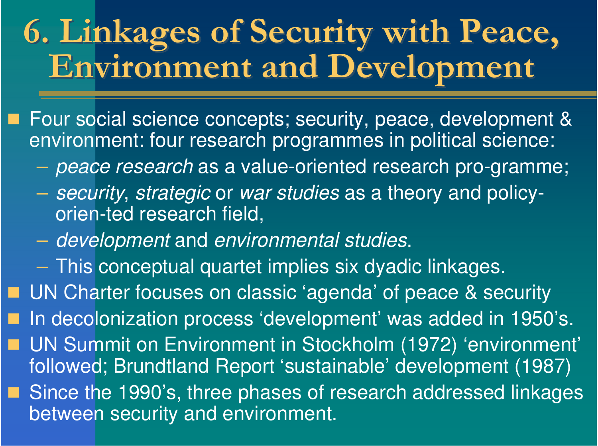## 6. Linkages of Security with Peace, Environment and Development Environment and Development

■ Four social science concepts; security, peace, development & environment: four research programmes in political science:

- *peace research* as <sup>a</sup> value-oriented research pro-gramme;
- *security*, *strategic* or *war studies* as <sup>a</sup> theory and policyorien-ted research field,
- –*development* and *environmental studies*.
- This conceptual quartet implies six dyadic linkages.

UN Charter focuses on classic 'agenda' of peace & security

In decolonization process 'development' was added in 1950's.

■ UN Summit on Environment in Stockholm (1972) 'environment' followed; Brundtland Report 'sustainable' development (1987)

■ Since the 1990's, three phases of research addressed linkages between security and environment.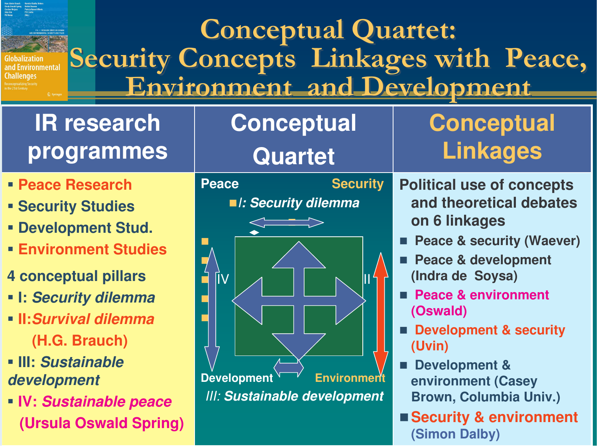### Conceptual Quartet: Security Concepts Linkages with Peace, Security Concepts Linkages with Peace, ronmental Environment and Development

## **lR** research **p r o g r a m m e s**

- -**PeaceResearch**
- **F**<br /> **S**<br /> **S**<br /> **S**<br /> **S**<br /> **S**<br /> **S**<br /> **S**<br /> **S**<br /> **S**<br /> **S**<br /> **S**<br /> **S**<br /> **S**<br /> **S**<br /> **S**<br /> **S**<br /> **S**<br /> **S**<br /> **S**<br /> **S**<br /> **S**<br /> **S**
- **F** Development Stud.
- -**Environment St udies**
- **4 c o n c e p t u al pilla r s**
- **I:** *S e c u ri ty dile m m a*
- **II:***Survivaldilemma***( H.G. B r a u c h )**
- **III:** *Sustainabledevelopment*
- **IV:** *S u s ta in a b le p e a c e* (Ursula Oswald Spring)



**Conceptual** 

## **Conceptual Lin k a g e s**

- **Political useof concep t s**and theoretical debates **o n 6 lin k a g e s**
- **Peace & security (Waever)**
- Г **Peace & development** (Indra de Soysa)
- Г **Peace&environment (O s w ald)**
- Г **Development & security (U vin)**
- П **Development & environment (Casey** Brown, Columbia Univ.)
- Security & environment **(Sim o n D alb y)**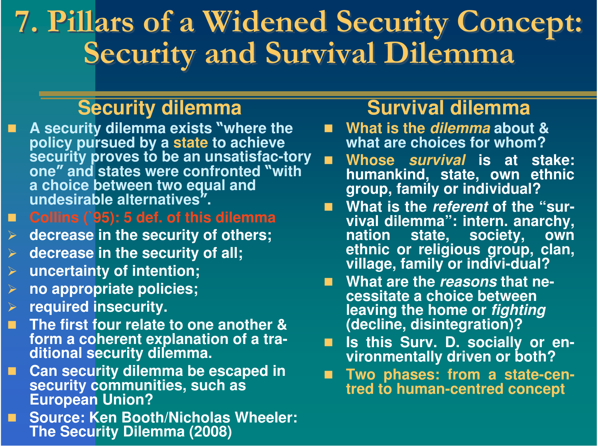#### 7. Pillars of a Widened Securit Y **Conce** 7. Pillars of a Widened Security Concept: **Securit Security and Survival Dilemma**  $\mathbf{y}$ Conce pt: **y** and Survival Dilemma

### **Security dilemma**

- п **Asecurit y dilemmaexist swher et he**policy pursued by a state to achieve security proves to be an unsatisfac-tory **o n e** ‴ " and states were confronted 11 **wit h a** choice between two equal and **undesirable** alternatives 77 **.**
- $\blacksquare$  . **C ollin s (`9 5 ): 5 d e f. o f t his dile m m a**
- $\blacktriangleright$ decrease in the security of others;
- $\blacktriangleright$ **decrease in the security of all;**
- $\blacktriangleright$ uncertainty of intention;
- $\blacktriangleright$ **n o a p p r o p ria t e p olicie s;**
- $\sum_{i=1}^{n}$ **r e q uir e d in s e c u rit y.**
- П The first four relate to one another & form a coherent explanation of a tra**ditio n al s e c u rit y dile m m a.**
- . **Can security dilemma be escaped in** security communities, such as **European Union?**
- . **Source: KenBoot h/NicholasWheeler:**The Security Dilemma (2008)

### **Survival dilemma**

- **Wh a t is t h e** *dile mma* **a b o u t & what arechoicesforwhom?**
- $\mathbf{r}$ **Whose***survival* **isat st ake:** humankind, state, own ethnic **g r o u p, f a mily o r in divid u al?**
- **What ist he***referent* **oft he"surviv al dile m m a ": in t e r n. a n a r c h y, n a tio n s t a t e, s o cie t y, o wne t h nic o r r eligio u s g r o u p, cla n, villa g e, f a mily o r in divi-d u al?**
- **What aret he***reasons***t hat necessit at eachoicebet ween**leaving the home or *fighting* (decline, disintegration)?
- o.  $\blacksquare$  Is this Surv. D. socially or en**vironmentally driven or both?**
- F. Two phases: from a state-centred to human-centred concept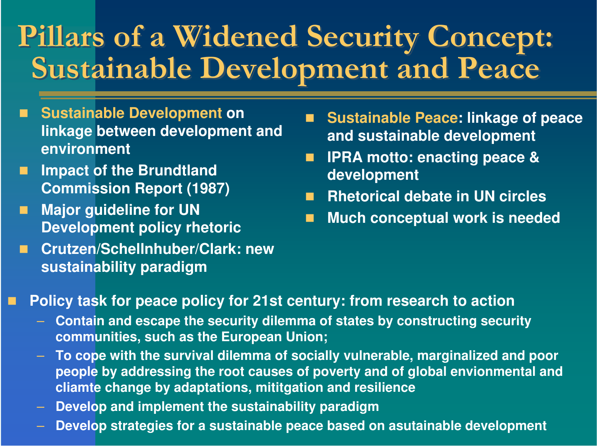### **Pillars of a** Pillars of a Widened Security Concept: **Sustainable Develo Sustainable Development and Peace** a Widened Security Concept: **pment and Peace**

- **Sustainable Development on linkage between development and environment**
- b. **Impact of the Brundtland Commission Report (1987)**
- п **Major guideline for UN Development policy rhetoric**
- ò. **Crutzen/Schellnhuber/Clark: newsustainability paradigm**
- $\blacksquare$  **Sustainable Peace: linkage of peace and sustainable development**
- у. **IPRA motto: enacting peace & development**
- Т, **Rhetorical debate in UN circles**
- У. **Much conceptual work is needed**

- ц, **Policy task for peace policy for 21st century: from research to action**
	- **Contain and escape the security dilemma of states by constructing security communities, such as the European Union;**
	- **To cope with the survival dilemma of socially vulnerable, marginalized and poor people by addressing the root causes of poverty and of global envionmental and cliamte change by adaptations, mititgation and resilience**
	- **Develop and implement the sustainability paradigm**
	- **Develop strategies for <sup>a</sup> sustainable peace based on asutainable development**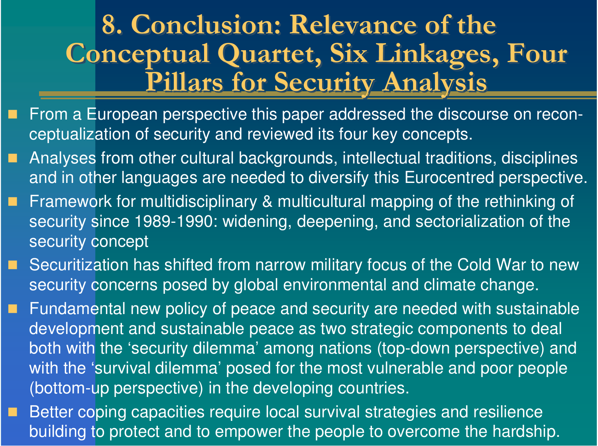## 8. Conclusion: Relevance of the Conceptual Quartet, Six Linkages, Four Pillars for Security Analysis

- п ■ From a European perspective this paper addressed the discourse on reconceptualization of security and reviewed its four key concepts.
- п Analyses from other cultural backgrounds, intellectual traditions, disciplines and in other languages are needed to diversify this Eurocentred perspective.
- п Framework for multidisciplinary & multicultural mapping of the rethinking of security since 1989-1990: widening, deepening, and sectorialization of the security concept
- Securitization has shifted from narrow military focus of the Cold War to new security concerns posed by global environmental and climate change.
- . Fundamental new policy of peace and security are needed with sustainable development and sustainable peace as two strategic components to deal both with the 'security dilemma' among nations (top-down perspective) and with the 'survival dilemma' posed for the most vulnerable and poor people (bottom-up perspective) in the developing countries.
- п Better coping capacities require local survival strategies and resilience building to protect and to empower the people to overcome the hardship.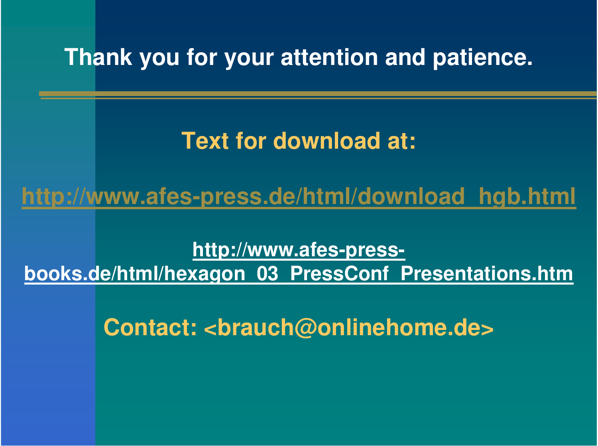## **Thank you for your attention and patience.**

## **Text for download at:**

**http://www.afes-press.de/html/download\_hgb.html**

**http://www.afes-press-**

**books.de/html/hexagon\_03\_PressConf\_Presentations.htm**

**Contact: <brauch@onlinehome.de>**